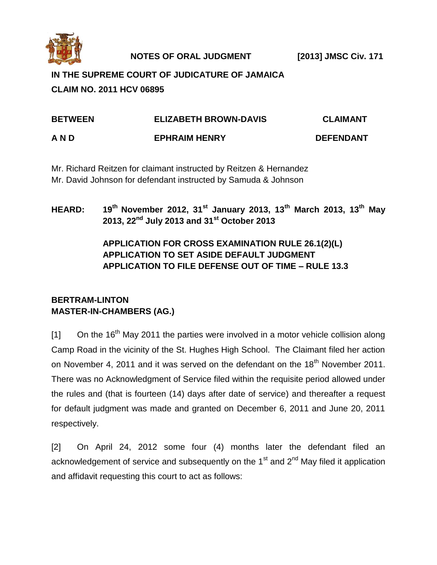

**NOTES OF ORAL JUDGMENT [2013] JMSC Civ. 171**

# **IN THE SUPREME COURT OF JUDICATURE OF JAMAICA CLAIM NO. 2011 HCV 06895**

| <b>BETWEEN</b> | <b>ELIZABETH BROWN-DAVIS</b> | <b>CLAIMANT</b>  |
|----------------|------------------------------|------------------|
| AND            | <b>EPHRAIM HENRY</b>         | <b>DEFENDANT</b> |

Mr. Richard Reitzen for claimant instructed by Reitzen & Hernandez Mr. David Johnson for defendant instructed by Samuda & Johnson

## **HEARD: 19th November 2012, 31st January 2013, 13th March 2013, 13th May 2013, 22nd July 2013 and 31st October 2013**

## **APPLICATION FOR CROSS EXAMINATION RULE 26.1(2)(L) APPLICATION TO SET ASIDE DEFAULT JUDGMENT APPLICATION TO FILE DEFENSE OUT OF TIME – RULE 13.3**

## **BERTRAM-LINTON MASTER-IN-CHAMBERS (AG.)**

 $[1]$  On the 16<sup>th</sup> May 2011 the parties were involved in a motor vehicle collision along Camp Road in the vicinity of the St. Hughes High School. The Claimant filed her action on November 4, 2011 and it was served on the defendant on the 18<sup>th</sup> November 2011. There was no Acknowledgment of Service filed within the requisite period allowed under the rules and (that is fourteen (14) days after date of service) and thereafter a request for default judgment was made and granted on December 6, 2011 and June 20, 2011 respectively.

[2] On April 24, 2012 some four (4) months later the defendant filed an acknowledgement of service and subsequently on the  $1<sup>st</sup>$  and  $2<sup>nd</sup>$  May filed it application and affidavit requesting this court to act as follows: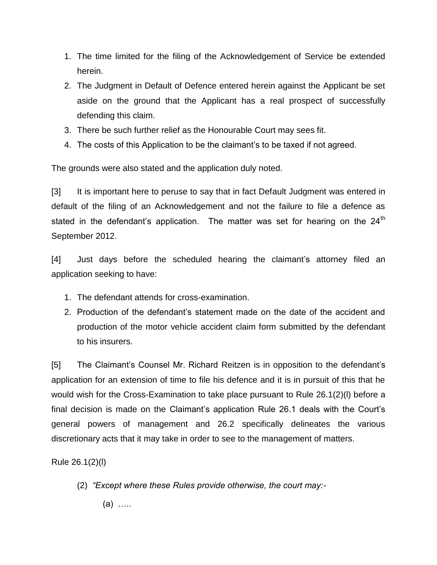- 1. The time limited for the filing of the Acknowledgement of Service be extended herein.
- 2. The Judgment in Default of Defence entered herein against the Applicant be set aside on the ground that the Applicant has a real prospect of successfully defending this claim.
- 3. There be such further relief as the Honourable Court may sees fit.
- 4. The costs of this Application to be the claimant's to be taxed if not agreed.

The grounds were also stated and the application duly noted.

[3] It is important here to peruse to say that in fact Default Judgment was entered in default of the filing of an Acknowledgement and not the failure to file a defence as stated in the defendant's application. The matter was set for hearing on the  $24<sup>th</sup>$ September 2012.

[4] Just days before the scheduled hearing the claimant's attorney filed an application seeking to have:

- 1. The defendant attends for cross-examination.
- 2. Production of the defendant's statement made on the date of the accident and production of the motor vehicle accident claim form submitted by the defendant to his insurers.

[5] The Claimant's Counsel Mr. Richard Reitzen is in opposition to the defendant's application for an extension of time to file his defence and it is in pursuit of this that he would wish for the Cross-Examination to take place pursuant to Rule 26.1(2)(l) before a final decision is made on the Claimant's application Rule 26.1 deals with the Court's general powers of management and 26.2 specifically delineates the various discretionary acts that it may take in order to see to the management of matters.

Rule 26.1(2)(l)

- (2) *"Except where these Rules provide otherwise, the court may:-*
	- (a) …..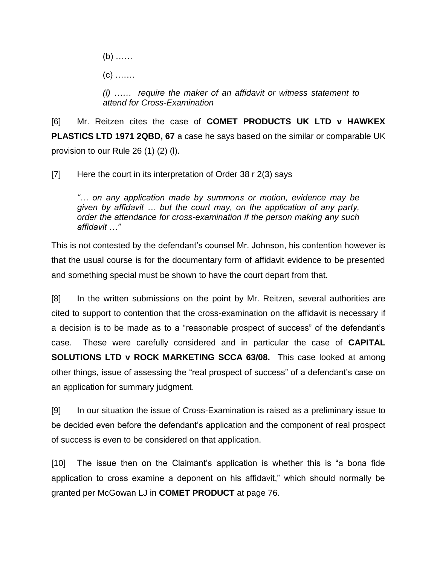(b) ……  $(c)$  …… *(l) …… require the maker of an affidavit or witness statement to attend for Cross-Examination*

[6] Mr. Reitzen cites the case of **COMET PRODUCTS UK LTD v HAWKEX PLASTICS LTD 1971 2QBD, 67** a case he says based on the similar or comparable UK provision to our Rule 26 (1) (2) (l).

[7] Here the court in its interpretation of Order 38 r 2(3) says

*"… on any application made by summons or motion, evidence may be given by affidavit … but the court may, on the application of any party, order the attendance for cross-examination if the person making any such affidavit …"*

This is not contested by the defendant's counsel Mr. Johnson, his contention however is that the usual course is for the documentary form of affidavit evidence to be presented and something special must be shown to have the court depart from that.

[8] In the written submissions on the point by Mr. Reitzen, several authorities are cited to support to contention that the cross-examination on the affidavit is necessary if a decision is to be made as to a "reasonable prospect of success" of the defendant's case. These were carefully considered and in particular the case of **CAPITAL SOLUTIONS LTD v ROCK MARKETING SCCA 63/08.** This case looked at among other things, issue of assessing the "real prospect of success" of a defendant's case on an application for summary judgment.

[9] In our situation the issue of Cross-Examination is raised as a preliminary issue to be decided even before the defendant's application and the component of real prospect of success is even to be considered on that application.

[10] The issue then on the Claimant's application is whether this is "a bona fide application to cross examine a deponent on his affidavit," which should normally be granted per McGowan LJ in **COMET PRODUCT** at page 76.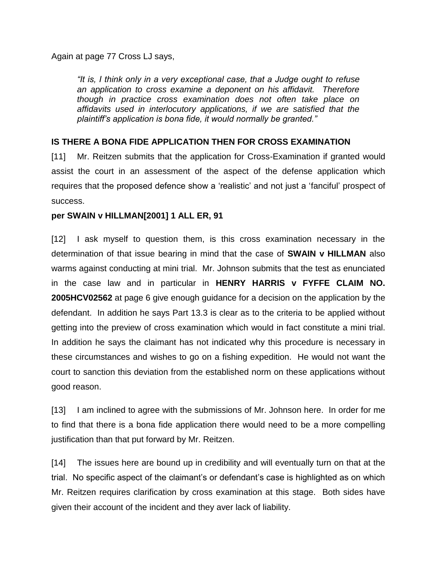Again at page 77 Cross LJ says,

*"It is, I think only in a very exceptional case, that a Judge ought to refuse an application to cross examine a deponent on his affidavit. Therefore though in practice cross examination does not often take place on affidavits used in interlocutory applications, if we are satisfied that the plaintiff's application is bona fide, it would normally be granted."*

#### **IS THERE A BONA FIDE APPLICATION THEN FOR CROSS EXAMINATION**

[11] Mr. Reitzen submits that the application for Cross-Examination if granted would assist the court in an assessment of the aspect of the defense application which requires that the proposed defence show a 'realistic' and not just a 'fanciful' prospect of success.

#### **per SWAIN v HILLMAN[2001] 1 ALL ER, 91**

[12] I ask myself to question them, is this cross examination necessary in the determination of that issue bearing in mind that the case of **SWAIN v HILLMAN** also warms against conducting at mini trial. Mr. Johnson submits that the test as enunciated in the case law and in particular in **HENRY HARRIS v FYFFE CLAIM NO. 2005HCV02562** at page 6 give enough guidance for a decision on the application by the defendant. In addition he says Part 13.3 is clear as to the criteria to be applied without getting into the preview of cross examination which would in fact constitute a mini trial. In addition he says the claimant has not indicated why this procedure is necessary in these circumstances and wishes to go on a fishing expedition. He would not want the court to sanction this deviation from the established norm on these applications without good reason.

[13] I am inclined to agree with the submissions of Mr. Johnson here. In order for me to find that there is a bona fide application there would need to be a more compelling justification than that put forward by Mr. Reitzen.

[14] The issues here are bound up in credibility and will eventually turn on that at the trial. No specific aspect of the claimant's or defendant's case is highlighted as on which Mr. Reitzen requires clarification by cross examination at this stage. Both sides have given their account of the incident and they aver lack of liability.